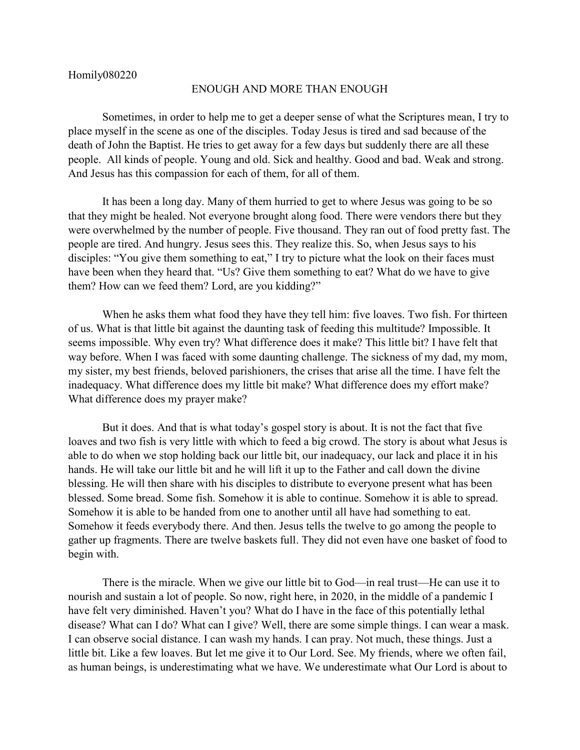## ENOUGH AND MORE THAN ENOUGH

Sometimes, in order to help me to get a deeper sense of what the Scriptures mean, I try to place myself in the scene as one of the disciples. Today Jesus is tired and sad because of the death of John the Baptist. He tries to get away for a few days but suddenly there are all these people. All kinds of people. Young and old. Sick and healthy. Good and bad. Weak and strong. And Jesus has this compassion for each of them, for all of them.

It has been a long day. Many of them hurried to get to where Jesus was going to be so that they might be healed. Not everyone brought along food. There were vendors there but they were overwhelmed by the number of people. Five thousand. They ran out of food pretty fast. The people are tired. And hungry. Jesus sees this. They realize this. So, when Jesus says to his disciples: "You give them something to eat," I try to picture what the look on their faces must have been when they heard that. "Us? Give them something to eat? What do we have to give them? How can we feed them? Lord, are you kidding?"

When he asks them what food they have they tell him: five loaves. Two fish. For thirteen of us. What is that little bit against the daunting task of feeding this multitude? Impossible. It seems impossible. Why even try? What difference does it make? This little bit? I have felt that way before. When I was faced with some daunting challenge. The sickness of my dad, my mom, my sister, my best friends, beloved parishioners, the crises that arise all the time. I have felt the inadequacy. What difference does my little bit make? What difference does my effort make? What difference does my prayer make?

But it does. And that is what today's gospel story is about. It is not the fact that five loaves and two fish is very little with which to feed a big crowd. The story is about what Jesus is able to do when we stop holding back our little bit, our inadequacy, our lack and place it in his hands. He will take our little bit and he will lift it up to the Father and call down the divine blessing. He will then share with his disciples to distribute to everyone present what has been blessed. Some bread. Some fish. Somehow it is able to continue. Somehow it is able to spread. Somehow it is able to be handed from one to another until all have had something to eat. Somehow it feeds everybody there. And then. Jesus tells the twelve to go among the people to gather up fragments. There are twelve baskets full. They did not even have one basket of food to begin with.

There is the miracle. When we give our little bit to God—in real trust—He can use it to nourish and sustain a lot of people. So now, right here, in 2020, in the middle of a pandemic I have felt very diminished. Haven't you? What do I have in the face of this potentially lethal disease? What can I do? What can I give? Well, there are some simple things. I can wear a mask. I can observe social distance. I can wash my hands. I can pray. Not much, these things. Just a little bit. Like a few loaves. But let me give it to Our Lord. See. My friends, where we often fail, as human beings, is underestimating what we have. We underestimate what Our Lord is about to